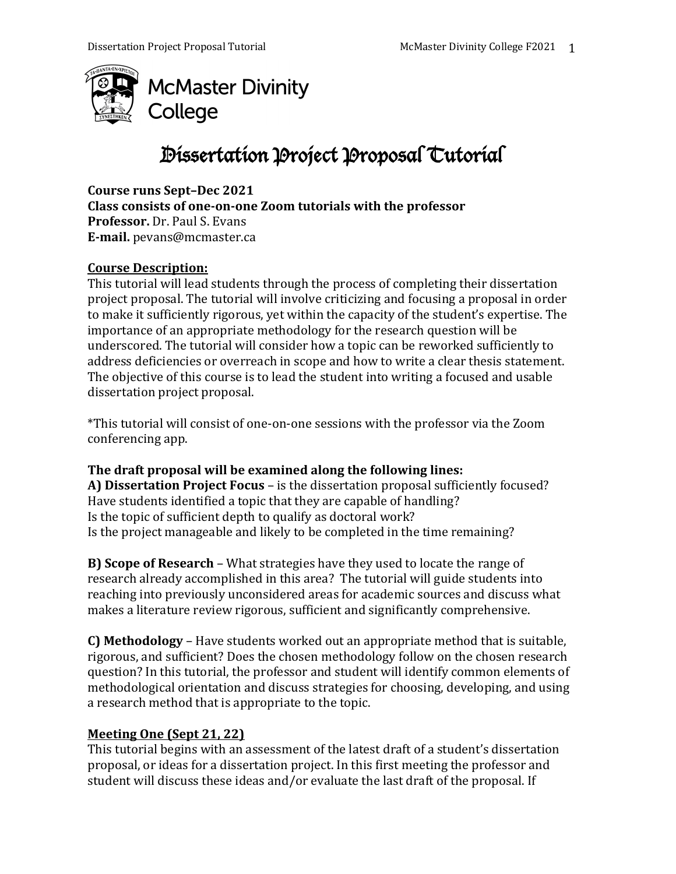

# Dissertation Project Proposal Tutorial

Course runs Sept-Dec 2021 Class consists of one-on-one Zoom tutorials with the professor **Professor.** Dr. Paul S. Evans **E-mail.** pevans@mcmaster.ca

## **Course Description:**

This tutorial will lead students through the process of completing their dissertation project proposal. The tutorial will involve criticizing and focusing a proposal in order to make it sufficiently rigorous, yet within the capacity of the student's expertise. The importance of an appropriate methodology for the research question will be underscored. The tutorial will consider how a topic can be reworked sufficiently to address deficiencies or overreach in scope and how to write a clear thesis statement. The objective of this course is to lead the student into writing a focused and usable dissertation project proposal.

\*This tutorial will consist of one-on-one sessions with the professor via the Zoom conferencing app.

## The draft proposal will be examined along the following lines:

A) Dissertation Project Focus - is the dissertation proposal sufficiently focused? Have students identified a topic that they are capable of handling? Is the topic of sufficient depth to qualify as doctoral work? Is the project manageable and likely to be completed in the time remaining?

**B) Scope of Research** – What strategies have they used to locate the range of research already accomplished in this area? The tutorial will guide students into reaching into previously unconsidered areas for academic sources and discuss what makes a literature review rigorous, sufficient and significantly comprehensive.

**C) Methodology** – Have students worked out an appropriate method that is suitable, rigorous, and sufficient? Does the chosen methodology follow on the chosen research question? In this tutorial, the professor and student will identify common elements of methodological orientation and discuss strategies for choosing, developing, and using a research method that is appropriate to the topic.

## **Meeting One (Sept 21, 22)**

This tutorial begins with an assessment of the latest draft of a student's dissertation proposal, or ideas for a dissertation project. In this first meeting the professor and student will discuss these ideas and/or evaluate the last draft of the proposal. If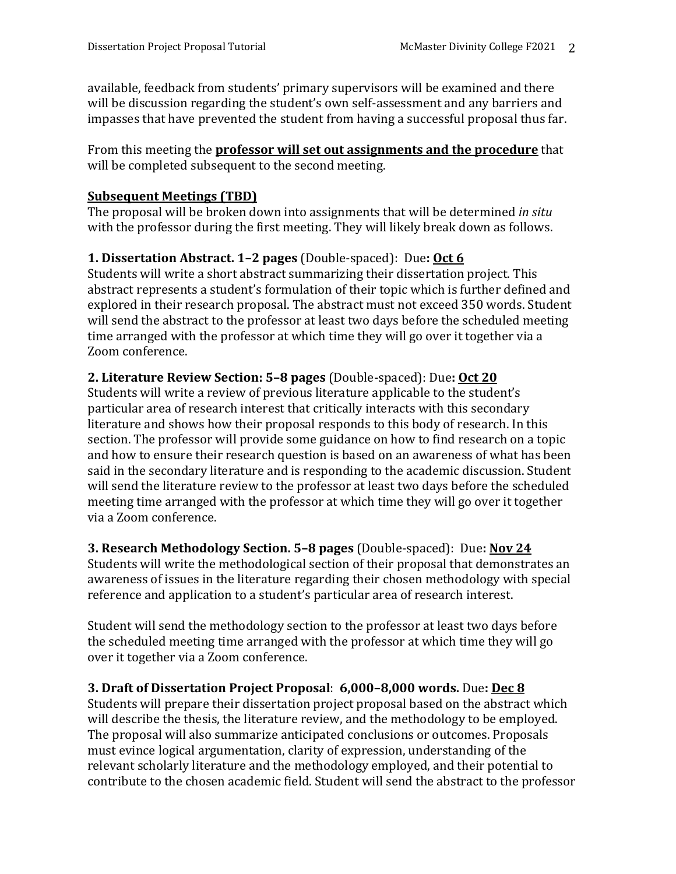available, feedback from students' primary supervisors will be examined and there will be discussion regarding the student's own self-assessment and any barriers and impasses that have prevented the student from having a successful proposal thus far.

From this meeting the **professor will set out assignments and the procedure** that will be completed subsequent to the second meeting.

## **Subsequent Meetings (TBD)**

The proposal will be broken down into assignments that will be determined *in situ* with the professor during the first meeting. They will likely break down as follows.

## **1. Dissertation Abstract. 1-2 pages** (Double-spaced): Due: **Oct 6**

Students will write a short abstract summarizing their dissertation project. This abstract represents a student's formulation of their topic which is further defined and explored in their research proposal. The abstract must not exceed 350 words. Student will send the abstract to the professor at least two days before the scheduled meeting time arranged with the professor at which time they will go over it together via a Zoom conference.

## **2. Literature Review Section: 5–8 pages** (Double-spaced): Due**: Oct 20**

Students will write a review of previous literature applicable to the student's particular area of research interest that critically interacts with this secondary literature and shows how their proposal responds to this body of research. In this section. The professor will provide some guidance on how to find research on a topic and how to ensure their research question is based on an awareness of what has been said in the secondary literature and is responding to the academic discussion. Student will send the literature review to the professor at least two days before the scheduled meeting time arranged with the professor at which time they will go over it together via a Zoom conference.

## **3. Research Methodology Section.** 5-8 pages (Double-spaced): Due: Nov 24

Students will write the methodological section of their proposal that demonstrates an awareness of issues in the literature regarding their chosen methodology with special reference and application to a student's particular area of research interest.

Student will send the methodology section to the professor at least two days before the scheduled meeting time arranged with the professor at which time they will go over it together via a Zoom conference.

## **3. Draft of Dissertation Project Proposal**: **6,000–8,000 words.** Due**: Dec 8**

Students will prepare their dissertation project proposal based on the abstract which will describe the thesis, the literature review, and the methodology to be employed. The proposal will also summarize anticipated conclusions or outcomes. Proposals must evince logical argumentation, clarity of expression, understanding of the relevant scholarly literature and the methodology employed, and their potential to contribute to the chosen academic field. Student will send the abstract to the professor